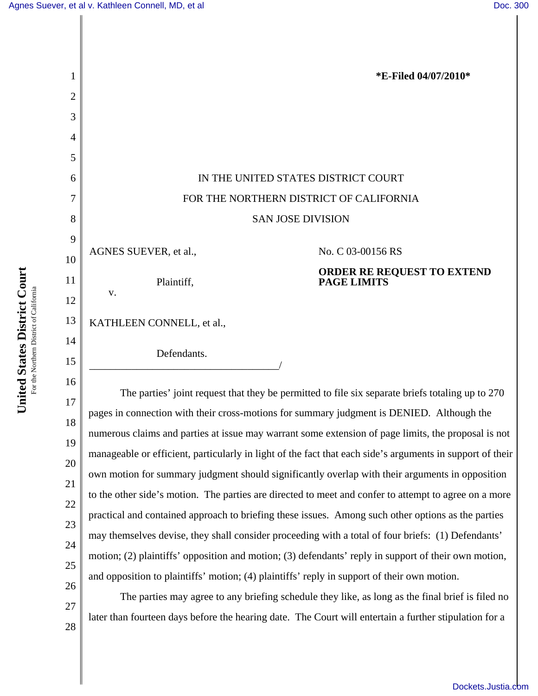║

| 1        | *E-Filed 04/07/2010*                                                                                      |
|----------|-----------------------------------------------------------------------------------------------------------|
| 2        |                                                                                                           |
| 3        |                                                                                                           |
| 4        |                                                                                                           |
| 5        |                                                                                                           |
| 6        | IN THE UNITED STATES DISTRICT COURT                                                                       |
| 7        | FOR THE NORTHERN DISTRICT OF CALIFORNIA                                                                   |
| 8        | <b>SAN JOSE DIVISION</b>                                                                                  |
| 9        | AGNES SUEVER, et al.,<br>No. C 03-00156 RS                                                                |
| 10       | <b>ORDER RE REQUEST TO EXTEND<br/>PAGE LIMITS</b>                                                         |
| 11<br>12 | Plaintiff,<br>V.                                                                                          |
| 13       | KATHLEEN CONNELL, et al.,                                                                                 |
| 14       |                                                                                                           |
| 15       | Defendants.                                                                                               |
| 16       |                                                                                                           |
| 17       | The parties' joint request that they be permitted to file six separate briefs totaling up to 270          |
| 18       | pages in connection with their cross-motions for summary judgment is DENIED. Although the                 |
| 19       | numerous claims and parties at issue may warrant some extension of page limits, the proposal is not       |
| 20       | manageable or efficient, particularly in light of the fact that each side's arguments in support of their |
| 21       | own motion for summary judgment should significantly overlap with their arguments in opposition           |
| 22       | to the other side's motion. The parties are directed to meet and confer to attempt to agree on a more     |
| 23       | practical and contained approach to briefing these issues. Among such other options as the parties        |
| 24       | may themselves devise, they shall consider proceeding with a total of four briefs: (1) Defendants'        |
| 25       | motion; (2) plaintiffs' opposition and motion; (3) defendants' reply in support of their own motion,      |
| 26       | and opposition to plaintiffs' motion; (4) plaintiffs' reply in support of their own motion.               |
| 27       | The parties may agree to any briefing schedule they like, as long as the final brief is filed no          |
| 28       | later than fourteen days before the hearing date. The Court will entertain a further stipulation for a    |
|          |                                                                                                           |